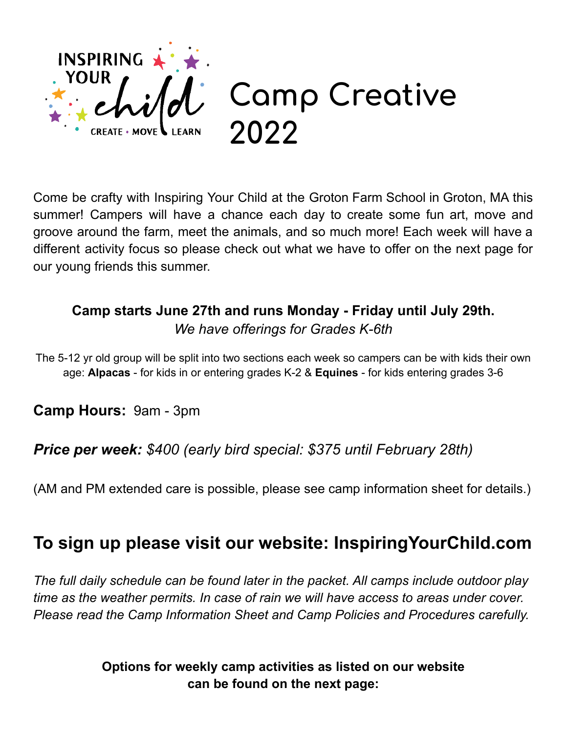

Come be crafty with Inspiring Your Child at the Groton Farm School in Groton, MA this summer! Campers will have a chance each day to create some fun art, move and groove around the farm, meet the animals, and so much more! Each week will have a different activity focus so please check out what we have to offer on the next page for our young friends this summer.

## **Camp starts June 27th and runs Monday - Friday until July 29th.** *We have offerings for Grades K-6th*

The 5-12 yr old group will be split into two sections each week so campers can be with kids their own age: **Alpacas** - for kids in or entering grades K-2 & **Equines** - for kids entering grades 3-6

**Camp Hours:** 9am - 3pm

## *Price per week: \$400 (early bird special: \$375 until February 28th)*

(AM and PM extended care is possible, please see camp information sheet for details.)

## **To sign up please visit our website: InspiringYourChild.com**

*The full daily schedule can be found later in the packet. All camps include outdoor play time as the weather permits. In case of rain we will have access to areas under cover. Please read the Camp Information Sheet and Camp Policies and Procedures carefully.*

> **Options for weekly camp activities as listed on our website can be found on the next page:**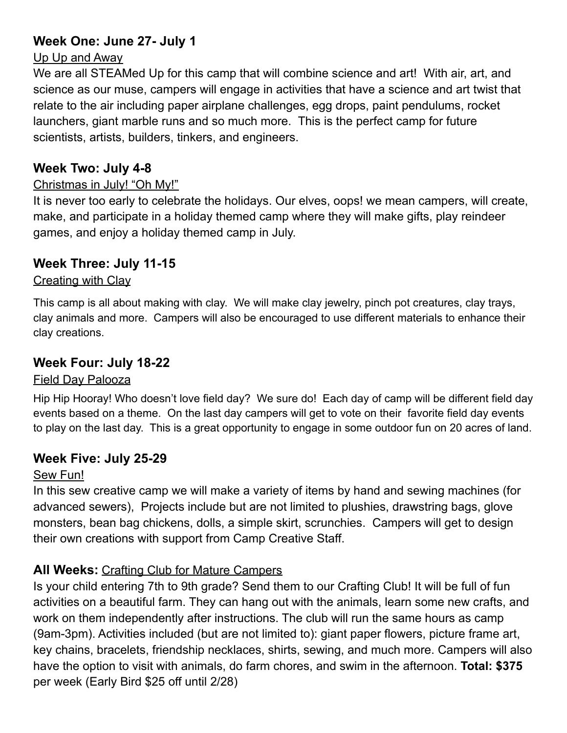## **Week One: June 27- July 1**

#### Up Up and Away

We are all STEAMed Up for this camp that will combine science and art! With air, art, and science as our muse, campers will engage in activities that have a science and art twist that relate to the air including paper airplane challenges, egg drops, paint pendulums, rocket launchers, giant marble runs and so much more. This is the perfect camp for future scientists, artists, builders, tinkers, and engineers.

## **Week Two: July 4-8**

## Christmas in July! "Oh My!"

It is never too early to celebrate the holidays. Our elves, oops! we mean campers, will create, make, and participate in a holiday themed camp where they will make gifts, play reindeer games, and enjoy a holiday themed camp in July.

## **Week Three: July 11-15**

## Creating with Clay

This camp is all about making with clay. We will make clay jewelry, pinch pot creatures, clay trays, clay animals and more. Campers will also be encouraged to use different materials to enhance their clay creations.

## **Week Four: July 18-22**

## Field Day Palooza

Hip Hip Hooray! Who doesn't love field day? We sure do! Each day of camp will be different field day events based on a theme. On the last day campers will get to vote on their favorite field day events to play on the last day. This is a great opportunity to engage in some outdoor fun on 20 acres of land.

## **Week Five: July 25-29**

## Sew Fun!

In this sew creative camp we will make a variety of items by hand and sewing machines (for advanced sewers), Projects include but are not limited to plushies, drawstring bags, glove monsters, bean bag chickens, dolls, a simple skirt, scrunchies. Campers will get to design their own creations with support from Camp Creative Staff.

## **All Weeks:** Crafting Club for Mature Campers

Is your child entering 7th to 9th grade? Send them to our Crafting Club! It will be full of fun activities on a beautiful farm. They can hang out with the animals, learn some new crafts, and work on them independently after instructions. The club will run the same hours as camp (9am-3pm). Activities included (but are not limited to): giant paper flowers, picture frame art, key chains, bracelets, friendship necklaces, shirts, sewing, and much more. Campers will also have the option to visit with animals, do farm chores, and swim in the afternoon. **Total: \$375** per week (Early Bird \$25 off until 2/28)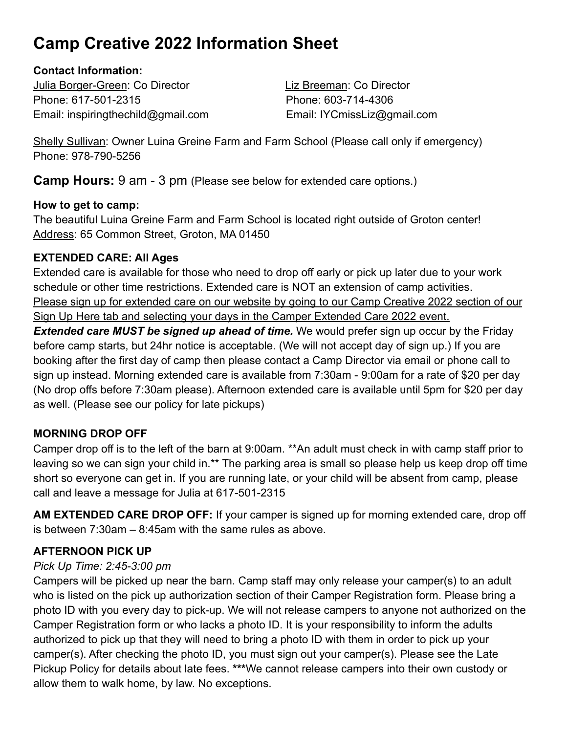## **Camp Creative 2022 Information Sheet**

#### **Contact Information:**

Julia Borger-Green: Co Director Liz Breeman: Co Director Phone: 617-501-2315 Phone: 603-714-4306 Email: inspiringthechild@gmail.com Email: IYCmissLiz@gmail.com

Shelly Sullivan: Owner Luina Greine Farm and Farm School (Please call only if emergency) Phone: 978-790-5256

**Camp Hours:** 9 am - 3 pm (Please see below for extended care options.)

#### **How to get to camp:**

The beautiful Luina Greine Farm and Farm School is located right outside of Groton center! Address: 65 Common Street, Groton, MA 01450

## **EXTENDED CARE: All Ages**

Extended care is available for those who need to drop off early or pick up later due to your work schedule or other time restrictions. Extended care is NOT an extension of camp activities. Please sign up for extended care on our website by going to our Camp Creative 2022 section of our Sign Up Here tab and selecting your days in the Camper Extended Care 2022 event.

**Extended care MUST be signed up ahead of time.** We would prefer sign up occur by the Friday before camp starts, but 24hr notice is acceptable. (We will not accept day of sign up.) If you are booking after the first day of camp then please contact a Camp Director via email or phone call to sign up instead. Morning extended care is available from 7:30am - 9:00am for a rate of \$20 per day (No drop offs before 7:30am please). Afternoon extended care is available until 5pm for \$20 per day as well. (Please see our policy for late pickups)

## **MORNING DROP OFF**

Camper drop off is to the left of the barn at 9:00am. \*\*An adult must check in with camp staff prior to leaving so we can sign your child in.\*\* The parking area is small so please help us keep drop off time short so everyone can get in. If you are running late, or your child will be absent from camp, please call and leave a message for Julia at 617-501-2315

**AM EXTENDED CARE DROP OFF:** If your camper is signed up for morning extended care, drop off is between 7:30am – 8:45am with the same rules as above.

## **AFTERNOON PICK UP**

## *Pick Up Time: 2:45-3:00 pm*

Campers will be picked up near the barn. Camp staff may only release your camper(s) to an adult who is listed on the pick up authorization section of their Camper Registration form. Please bring a photo ID with you every day to pick-up. We will not release campers to anyone not authorized on the Camper Registration form or who lacks a photo ID. It is your responsibility to inform the adults authorized to pick up that they will need to bring a photo ID with them in order to pick up your camper(s). After checking the photo ID, you must sign out your camper(s). Please see the Late Pickup Policy for details about late fees. **\*\*\***We cannot release campers into their own custody or allow them to walk home, by law. No exceptions.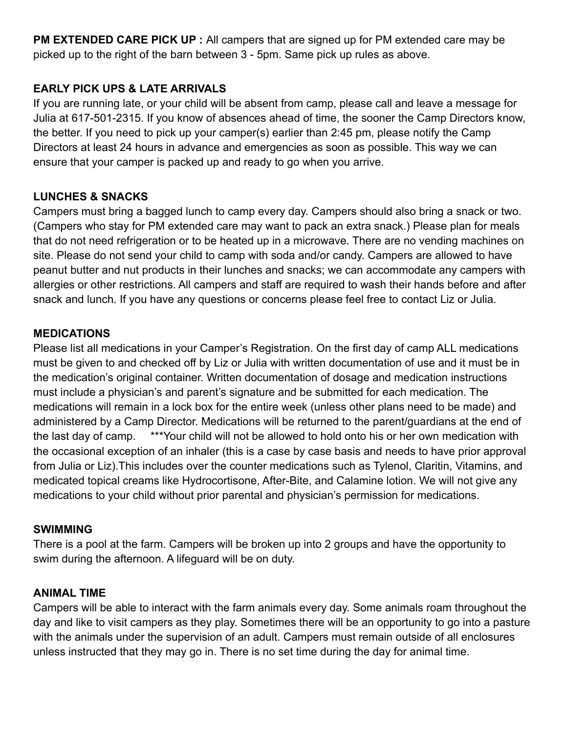**PM EXTENDED CARE PICK UP :** All campers that are signed up for PM extended care may be picked up to the right of the barn between 3 - 5pm. Same pick up rules as above.

#### **EARLY PICK UPS & LATE ARRIVALS**

If you are running late, or your child will be absent from camp, please call and leave a message for Julia at 617-501-2315. If you know of absences ahead of time, the sooner the Camp Directors know, the better. If you need to pick up your camper(s) earlier than 2:45 pm, please notify the Camp Directors at least 24 hours in advance and emergencies as soon as possible. This way we can ensure that your camper is packed up and ready to go when you arrive.

#### **LUNCHES & SNACKS**

Campers must bring a bagged lunch to camp every day. Campers should also bring a snack or two. (Campers who stay for PM extended care may want to pack an extra snack.) Please plan for meals that do not need refrigeration or to be heated up in a microwave. There are no vending machines on site. Please do not send your child to camp with soda and/or candy. Campers are allowed to have peanut butter and nut products in their lunches and snacks; we can accommodate any campers with allergies or other restrictions. All campers and staff are required to wash their hands before and after snack and lunch. If you have any questions or concerns please feel free to contact Liz or Julia.

#### **MEDICATIONS**

Please list all medications in your Camper's Registration. On the first day of camp ALL medications must be given to and checked off by Liz or Julia with written documentation of use and it must be in the medication's original container. Written documentation of dosage and medication instructions must include a physician's and parent's signature and be submitted for each medication. The medications will remain in a lock box for the entire week (unless other plans need to be made) and administered by a Camp Director. Medications will be returned to the parent/guardians at the end of the last day of camp. \*\*\*Your child will not be allowed to hold onto his or her own medication with the occasional exception of an inhaler (this is a case by case basis and needs to have prior approval from Julia or Liz).This includes over the counter medications such as Tylenol, Claritin, Vitamins, and medicated topical creams like Hydrocortisone, After-Bite, and Calamine lotion. We will not give any medications to your child without prior parental and physician's permission for medications.

#### **SWIMMING**

There is a pool at the farm. Campers will be broken up into 2 groups and have the opportunity to swim during the afternoon. A lifeguard will be on duty.

#### **ANIMAL TIME**

Campers will be able to interact with the farm animals every day. Some animals roam throughout the day and like to visit campers as they play. Sometimes there will be an opportunity to go into a pasture with the animals under the supervision of an adult. Campers must remain outside of all enclosures unless instructed that they may go in. There is no set time during the day for animal time.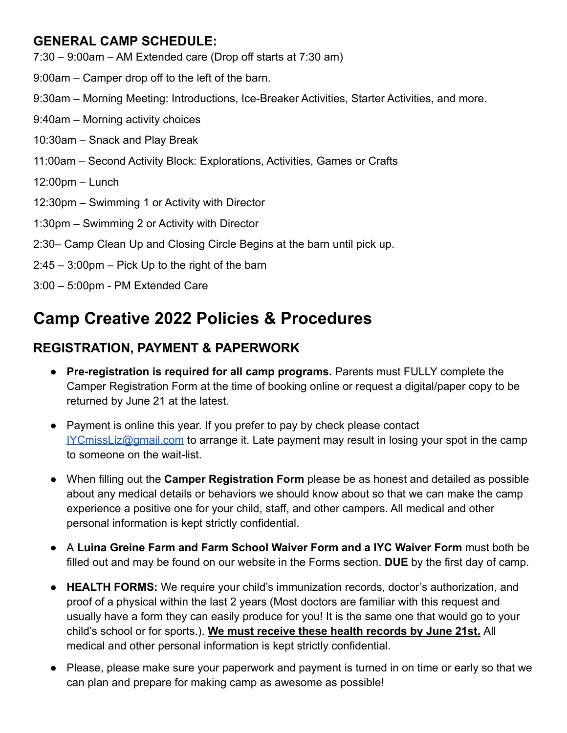## **GENERAL CAMP SCHEDULE:**

- 7:30 9:00am AM Extended care (Drop off starts at 7:30 am)
- 9:00am Camper drop off to the left of the barn.
- 9:30am Morning Meeting: Introductions, Ice-Breaker Activities, Starter Activities, and more.
- 9:40am Morning activity choices
- 10:30am Snack and Play Break
- 11:00am Second Activity Block: Explorations, Activities, Games or Crafts
- 12:00pm Lunch
- 12:30pm Swimming 1 or Activity with Director
- 1:30pm Swimming 2 or Activity with Director
- 2:30– Camp Clean Up and Closing Circle Begins at the barn until pick up.
- 2:45 3:00pm Pick Up to the right of the barn
- 3:00 5:00pm PM Extended Care

## **Camp Creative 2022 Policies & Procedures**

## **REGISTRATION, PAYMENT & PAPERWORK**

- **Pre-registration is required for all camp programs.** Parents must FULLY complete the Camper Registration Form at the time of booking online or request a digital/paper copy to be returned by June 21 at the latest.
- Payment is online this year. If you prefer to pay by check please contact [IYCmissLiz@gmail.com](mailto:IYCmissLiz@gmail.com) to arrange it. Late payment may result in losing your spot in the camp to someone on the wait-list.
- When filling out the **Camper Registration Form** please be as honest and detailed as possible about any medical details or behaviors we should know about so that we can make the camp experience a positive one for your child, staff, and other campers. All medical and other personal information is kept strictly confidential.
- A **Luina Greine Farm and Farm School Waiver Form and a IYC Waiver Form** must both be filled out and may be found on our website in the Forms section. **DUE** by the first day of camp.
- **HEALTH FORMS:** We require your child's immunization records, doctor's authorization, and proof of a physical within the last 2 years (Most doctors are familiar with this request and usually have a form they can easily produce for you! It is the same one that would go to your child's school or for sports.). **We must receive these health records by June 21st.** All medical and other personal information is kept strictly confidential.
- Please, please make sure your paperwork and payment is turned in on time or early so that we can plan and prepare for making camp as awesome as possible!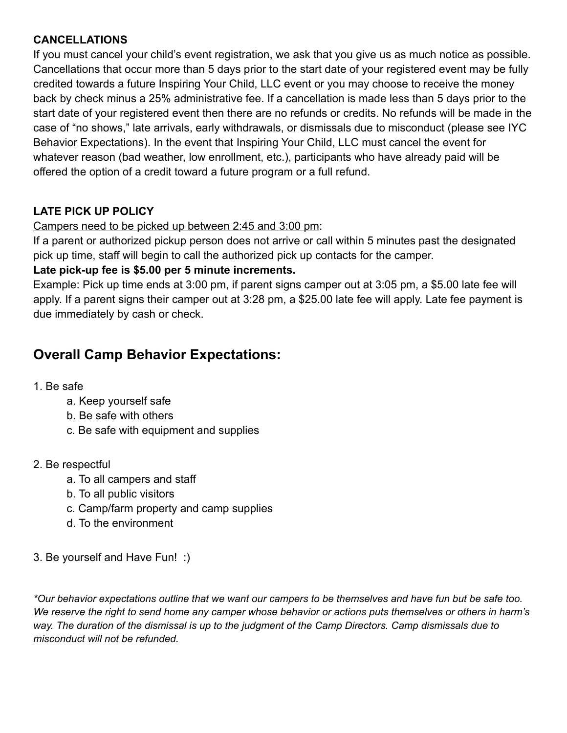#### **CANCELLATIONS**

If you must cancel your child's event registration, we ask that you give us as much notice as possible. Cancellations that occur more than 5 days prior to the start date of your registered event may be fully credited towards a future Inspiring Your Child, LLC event or you may choose to receive the money back by check minus a 25% administrative fee. If a cancellation is made less than 5 days prior to the start date of your registered event then there are no refunds or credits. No refunds will be made in the case of "no shows," late arrivals, early withdrawals, or dismissals due to misconduct (please see IYC Behavior Expectations). In the event that Inspiring Your Child, LLC must cancel the event for whatever reason (bad weather, low enrollment, etc.), participants who have already paid will be offered the option of a credit toward a future program or a full refund.

## **LATE PICK UP POLICY**

#### Campers need to be picked up between 2:45 and 3:00 pm:

If a parent or authorized pickup person does not arrive or call within 5 minutes past the designated pick up time, staff will begin to call the authorized pick up contacts for the camper.

#### **Late pick-up fee is \$5.00 per 5 minute increments.**

Example: Pick up time ends at 3:00 pm, if parent signs camper out at 3:05 pm, a \$5.00 late fee will apply. If a parent signs their camper out at 3:28 pm, a \$25.00 late fee will apply. Late fee payment is due immediately by cash or check.

## **Overall Camp Behavior Expectations:**

#### 1. Be safe

- a. Keep yourself safe
- b. Be safe with others
- c. Be safe with equipment and supplies

#### 2. Be respectful

- a. To all campers and staff
- b. To all public visitors
- c. Camp/farm property and camp supplies
- d. To the environment
- 3. Be yourself and Have Fun! :)

\*Our behavior expectations outline that we want our campers to be themselves and have fun but be safe too. We reserve the right to send home any camper whose behavior or actions puts themselves or others in harm's way. The duration of the dismissal is up to the judgment of the Camp Directors. Camp dismissals due to *misconduct will not be refunded.*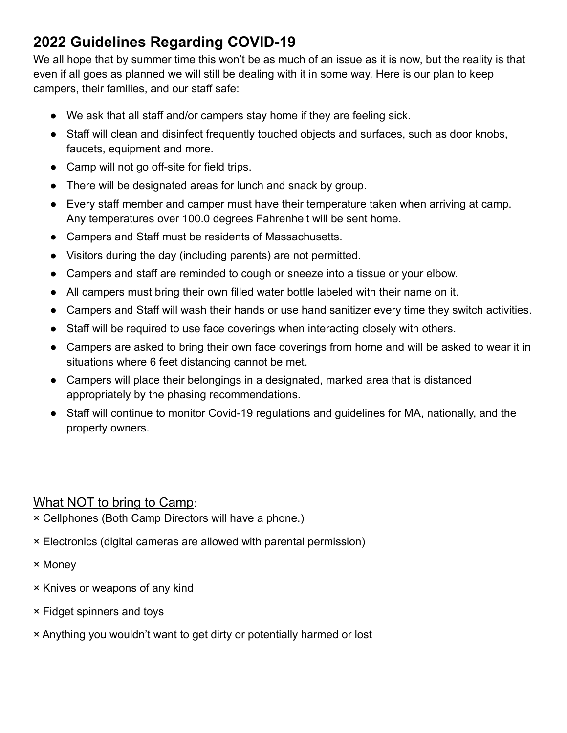## **2022 Guidelines Regarding COVID-19**

We all hope that by summer time this won't be as much of an issue as it is now, but the reality is that even if all goes as planned we will still be dealing with it in some way. Here is our plan to keep campers, their families, and our staff safe:

- We ask that all staff and/or campers stay home if they are feeling sick.
- Staff will clean and disinfect frequently touched objects and surfaces, such as door knobs, faucets, equipment and more.
- Camp will not go off-site for field trips.
- There will be designated areas for lunch and snack by group.
- Every staff member and camper must have their temperature taken when arriving at camp. Any temperatures over 100.0 degrees Fahrenheit will be sent home.
- Campers and Staff must be residents of Massachusetts.
- Visitors during the day (including parents) are not permitted.
- Campers and staff are reminded to cough or sneeze into a tissue or your elbow.
- All campers must bring their own filled water bottle labeled with their name on it.
- Campers and Staff will wash their hands or use hand sanitizer every time they switch activities.
- Staff will be required to use face coverings when interacting closely with others.
- Campers are asked to bring their own face coverings from home and will be asked to wear it in situations where 6 feet distancing cannot be met.
- Campers will place their belongings in a designated, marked area that is distanced appropriately by the phasing recommendations.
- Staff will continue to monitor Covid-19 regulations and guidelines for MA, nationally, and the property owners.

## What NOT to bring to Camp:

× Cellphones (Both Camp Directors will have a phone.)

- × Electronics (digital cameras are allowed with parental permission)
- × Money
- × Knives or weapons of any kind
- × Fidget spinners and toys
- × Anything you wouldn't want to get dirty or potentially harmed or lost